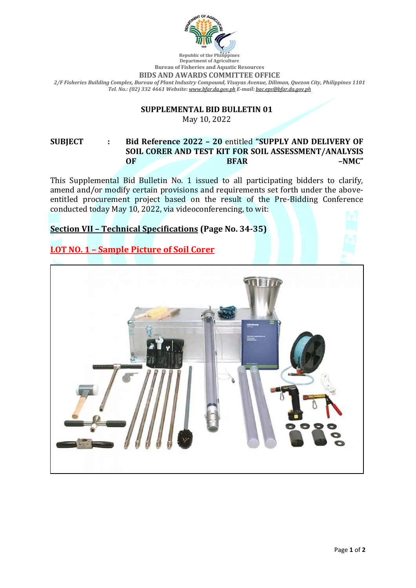

#### **Department of Agriculture Bureau of Fisheries and Aquatic Resources BIDS AND AWARDS COMMITTEE OFFICE** *2/F Fisheries Building Complex, Bureau of Plant Industry Compound, Visayas Avenue, Diliman, Quezon City, Philippines 1101 Tel. No.: (02) 332 4661 Website: [www.bfar.da.gov.ph](http://www.bfar.da.gov.ph/) E-mail: [bac.eps@bfar.da.gov.ph](mailto:bac.eps@bfar.da.gov.ph)*

# **SUPPLEMENTAL BID BULLETIN 01**

May 10, 2022

#### **SUBJECT : Bid Reference 2022 – 20** entitled **"SUPPLY AND DELIVERY OF SOIL CORER AND TEST KIT FOR SOIL ASSESSMENT/ANALYSIS OF BFAR –NMC"**

This Supplemental Bid Bulletin No. 1 issued to all participating bidders to clarify, amend and/or modify certain provisions and requirements set forth under the aboveentitled procurement project based on the result of the Pre-Bidding Conference conducted today May 10, 2022, via videoconferencing, to wit:

### **Section VII – Technical Specifications (Page No. 34-35)**

**LOT NO. 1 – Sample Picture of Soil Corer**